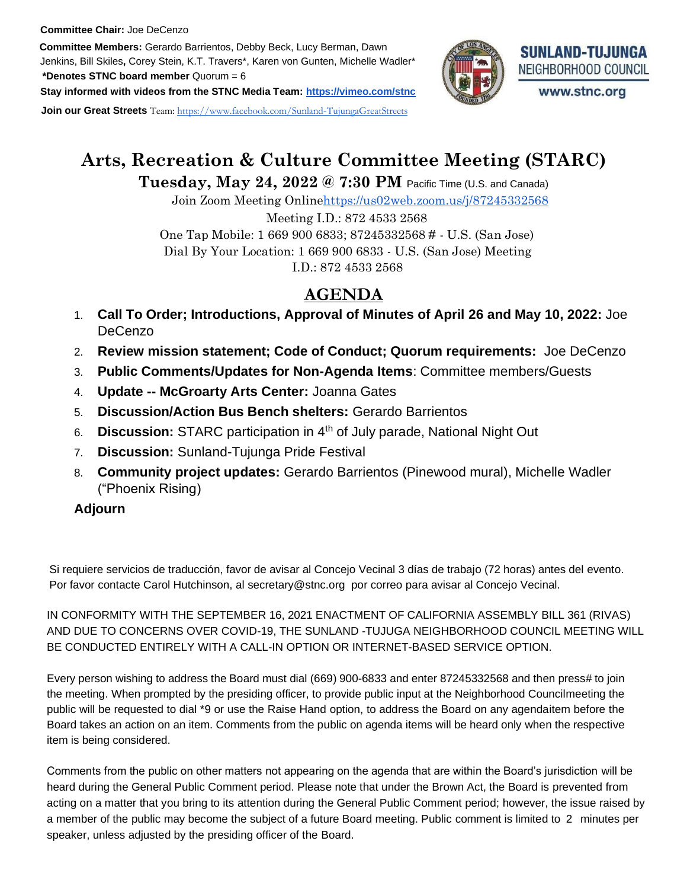#### **Committee Chair:** Joe DeCenzo

**Committee Members:** Gerardo Barrientos, Debby Beck, Lucy Berman, Dawn Jenkins, Bill Skiles**,** Corey Stein, K.T. Travers\*, Karen von Gunten, Michelle Wadler\* **\*Denotes STNC board member** Quorum = 6

**Stay informed with videos from the STNC Media Team[: https://vimeo.com/stnc](https://vimeo.com/stnc)**

**Join our Great Streets** Team: [https://www.facebook.com/Sunland-TujungaGreatStreets](https://www.facebook.com/SunlandTujungaGreatStreets)



# **Arts, Recreation & Culture Committee Meeting (STARC)**

# **Tuesday, May 24, 2022 @ 7:30 PM** Pacific Time (U.S. and Canada)

Join Zoom Meeting Onlin[ehttps://us02web.zoom.us/j/87245332568](https://us02web.zoom.us/j/87245332568)

Meeting I.D.: 872 4533 2568

One Tap Mobile: 1 669 900 6833; 87245332568 # - U.S. (San Jose) Dial By Your Location: 1 669 900 6833 - U.S. (San Jose) Meeting I.D.: 872 4533 2568

# **AGENDA**

- 1. **Call To Order; Introductions, Approval of Minutes of April 26 and May 10, 2022:** Joe DeCenzo
- 2. **Review mission statement; Code of Conduct; Quorum requirements:** Joe DeCenzo
- 3. **Public Comments/Updates for Non-Agenda Items**: Committee members/Guests
- 4. **Update -- McGroarty Arts Center:** Joanna Gates
- 5. **Discussion/Action Bus Bench shelters:** Gerardo Barrientos
- 6. **Discussion:** STARC participation in 4th of July parade, National Night Out
- 7. **Discussion:** Sunland-Tujunga Pride Festival
- 8. **Community project updates:** Gerardo Barrientos (Pinewood mural), Michelle Wadler ("Phoenix Rising)

# **Adjourn**

Si requiere servicios de traducción, favor de avisar al Concejo Vecinal 3 días de trabajo (72 horas) antes del evento. Por favor contacte Carol Hutchinson, al secretary@stnc.org por correo para avisar al Concejo Vecinal.

 IN CONFORMITY WITH THE SEPTEMBER 16, 2021 ENACTMENT OF CALIFORNIA ASSEMBLY BILL 361 (RIVAS) AND DUE TO CONCERNS OVER COVID-19, THE SUNLAND -TUJUGA NEIGHBORHOOD COUNCIL MEETING WILL BE CONDUCTED ENTIRELY WITH A CALL-IN OPTION OR INTERNET-BASED SERVICE OPTION.

Every person wishing to address the Board must dial (669) 900-6833 and enter 87245332568 and then press# to join the meeting. When prompted by the presiding officer, to provide public input at the Neighborhood Councilmeeting the public will be requested to dial \*9 or use the Raise Hand option, to address the Board on any agendaitem before the Board takes an action on an item. Comments from the public on agenda items will be heard only when the respective item is being considered.

 Comments from the public on other matters not appearing on the agenda that are within the Board's jurisdiction will be heard during the General Public Comment period. Please note that under the Brown Act, the Board is prevented from acting on a matter that you bring to its attention during the General Public Comment period; however, the issue raised by a member of the public may become the subject of a future Board meeting. Public comment is limited to 2 minutes per speaker, unless adjusted by the presiding officer of the Board.